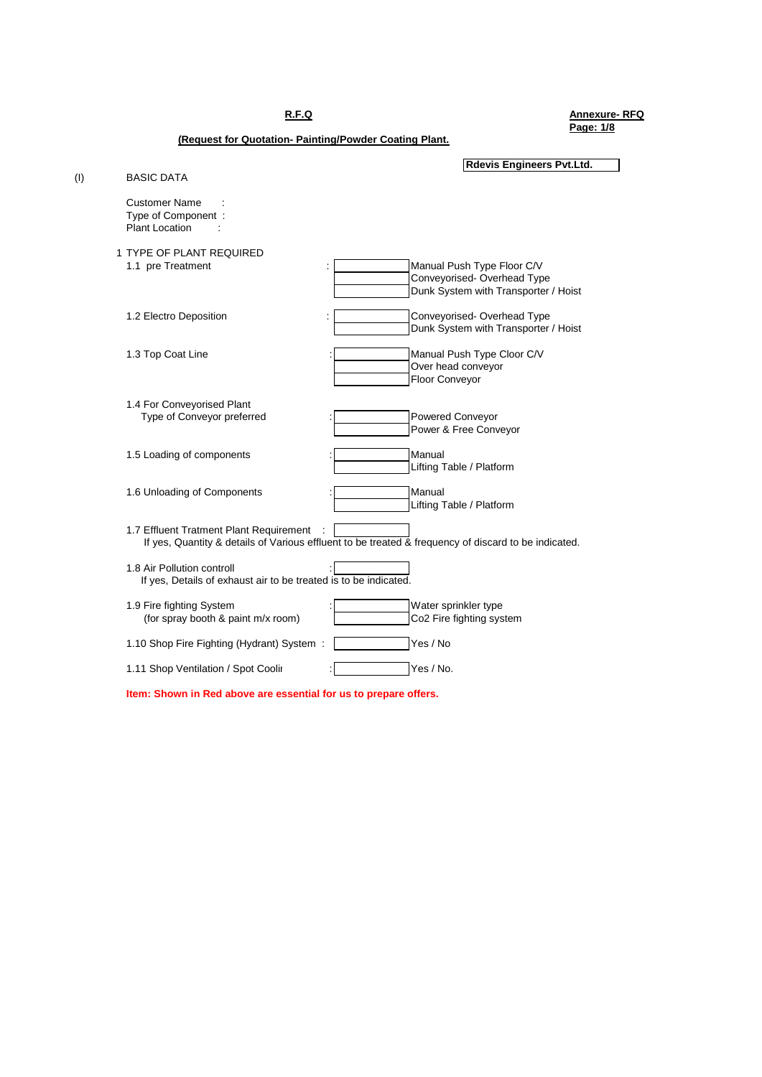**R.F.Q Annexure- RFQ Page: 1/8**

**(Request for Quotation- Painting/Powder Coating Plant.**

| (1) | <b>BASIC DATA</b>                                                                                                                               | <b>Rdevis Engineers Pvt.Ltd.</b>                                                                 |
|-----|-------------------------------------------------------------------------------------------------------------------------------------------------|--------------------------------------------------------------------------------------------------|
|     | <b>Customer Name</b><br>Type of Component:<br><b>Plant Location</b>                                                                             |                                                                                                  |
|     | 1 TYPE OF PLANT REQUIRED<br>1.1 pre Treatment<br>$\ddot{\phantom{a}}$                                                                           | Manual Push Type Floor C/V<br>Conveyorised-Overhead Type<br>Dunk System with Transporter / Hoist |
|     | 1.2 Electro Deposition                                                                                                                          | Conveyorised-Overhead Type<br>Dunk System with Transporter / Hoist                               |
|     | 1.3 Top Coat Line                                                                                                                               | Manual Push Type Cloor C/V<br>Over head conveyor<br>Floor Conveyor                               |
|     | 1.4 For Conveyorised Plant<br>Type of Conveyor preferred                                                                                        | Powered Conveyor<br>Power & Free Conveyor                                                        |
|     | 1.5 Loading of components                                                                                                                       | Manual<br>Lifting Table / Platform                                                               |
|     | 1.6 Unloading of Components                                                                                                                     | Manual<br>Lifting Table / Platform                                                               |
|     | 1.7 Effluent Tratment Plant Requirement<br>If yes, Quantity & details of Various effluent to be treated & frequency of discard to be indicated. |                                                                                                  |
|     | 1.8 Air Pollution controll<br>If yes, Details of exhaust air to be treated is to be indicated.                                                  |                                                                                                  |
|     | 1.9 Fire fighting System<br>(for spray booth & paint m/x room)                                                                                  | Water sprinkler type<br>Co2 Fire fighting system                                                 |
|     | 1.10 Shop Fire Fighting (Hydrant) System :                                                                                                      | Yes / No                                                                                         |
|     | 1.11 Shop Ventilation / Spot Coolir                                                                                                             | Yes / No.                                                                                        |
|     | Item: Shown in Red above are essential for us to prepare offers.                                                                                |                                                                                                  |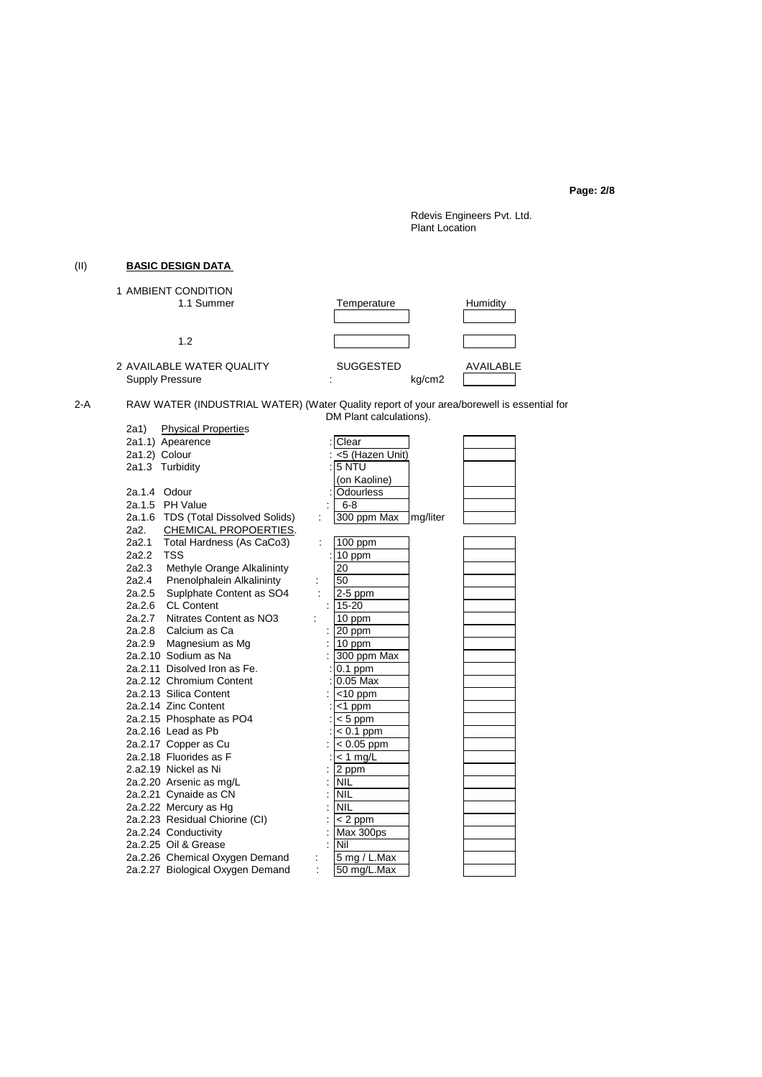**Page: 2/8**

Rdevis Engineers Pvt. Ltd. Plant Location

# (II) **BASIC DESIGN DATA**

| 1 AMBIENT CONDITION<br>1.1 Summer                   | Temperature                          | Humidity  |
|-----------------------------------------------------|--------------------------------------|-----------|
| 1.2                                                 |                                      |           |
| 2 AVAILABLE WATER QUALITY<br><b>Supply Pressure</b> | <b>SUGGESTED</b><br>kg/cm2<br>٠<br>٠ | AVAILABLE |

2-A RAW WATER (INDUSTRIAL WATER) (Water Quality report of your area/borewell is essential for DM Plant calculations).

|                                     |   | <u>2.1.1.1.0.1.1.0.1.0.1.0.1.0</u> |          |  |
|-------------------------------------|---|------------------------------------|----------|--|
| 2a1) Physical Properties            |   |                                    |          |  |
| 2a1.1) Apearence                    |   | Clear                              |          |  |
| 2a1.2) Colour                       |   | <5 (Hazen Unit)                    |          |  |
| 2a1.3 Turbidity                     |   | 5 NTU                              |          |  |
|                                     |   | (on Kaoline)                       |          |  |
| 2a.1.4 Odour                        |   | <b>Odourless</b>                   |          |  |
| 2a.1.5 PH Value                     |   | $6 - 8$                            |          |  |
| 2a.1.6 TDS (Total Dissolved Solids) |   | 300 ppm Max                        | mg/liter |  |
| CHEMICAL PROPOERTIES.<br>2a2.       |   |                                    |          |  |
| Total Hardness (As CaCo3)<br>2a2.1  | ÷ | $100$ ppm                          |          |  |
| <b>TSS</b><br>2a2.2                 |   | 10 ppm                             |          |  |
| 2a2.3 Methyle Orange Alkalininty    |   | 20                                 |          |  |
| 2a2.4 Pnenolphalein Alkalininty     |   | 50                                 |          |  |
| 2a.2.5 Suplphate Content as SO4     |   | $2-5$ ppm                          |          |  |
| 2a.2.6 CL Content                   |   | $15 - 20$                          |          |  |
| 2a.2.7 Nitrates Content as NO3      |   | 10 ppm                             |          |  |
| 2a.2.8 Calcium as Ca                |   | 20 ppm                             |          |  |
| 2a.2.9 Magnesium as Mg              |   | 10 ppm                             |          |  |
| 2a.2.10 Sodium as Na                |   | 300 ppm Max                        |          |  |
| 2a.2.11 Disolved Iron as Fe.        |   | $0.1$ ppm                          |          |  |
| 2a.2.12 Chromium Content            |   | $0.05$ Max                         |          |  |
| 2a.2.13 Silica Content              |   | $<$ 10 ppm                         |          |  |
| 2a.2.14 Zinc Content                |   | <1 ppm                             |          |  |
| 2a.2.15 Phosphate as PO4            |   | $< 5$ ppm                          |          |  |
| 2a.2.16 Lead as Pb                  |   | $< 0.1$ ppm                        |          |  |
| 2a.2.17 Copper as Cu                |   | $< 0.05$ ppm                       |          |  |
| 2a.2.18 Fluorides as F              |   | $<$ 1 mg/L                         |          |  |
| 2.a2.19 Nickel as Ni                |   | 2 ppm                              |          |  |
| 2a.2.20 Arsenic as mg/L             |   | NIL                                |          |  |
| 2a.2.21 Cynaide as CN               |   | <b>NIL</b>                         |          |  |
| 2a.2.22 Mercury as Hg               |   | <b>NIL</b>                         |          |  |
| 2a.2.23 Residual Chiorine (CI)      |   | $< 2$ ppm                          |          |  |
| 2a.2.24 Conductivity                |   | Max 300ps                          |          |  |
| 2a.2.25 Oil & Grease                |   | Nil                                |          |  |
| 2a.2.26 Chemical Oxygen Demand      |   | 5 mg / L.Max                       |          |  |
| 2a.2.27 Biological Oxygen Demand    | ÷ | 50 mg/L.Max                        |          |  |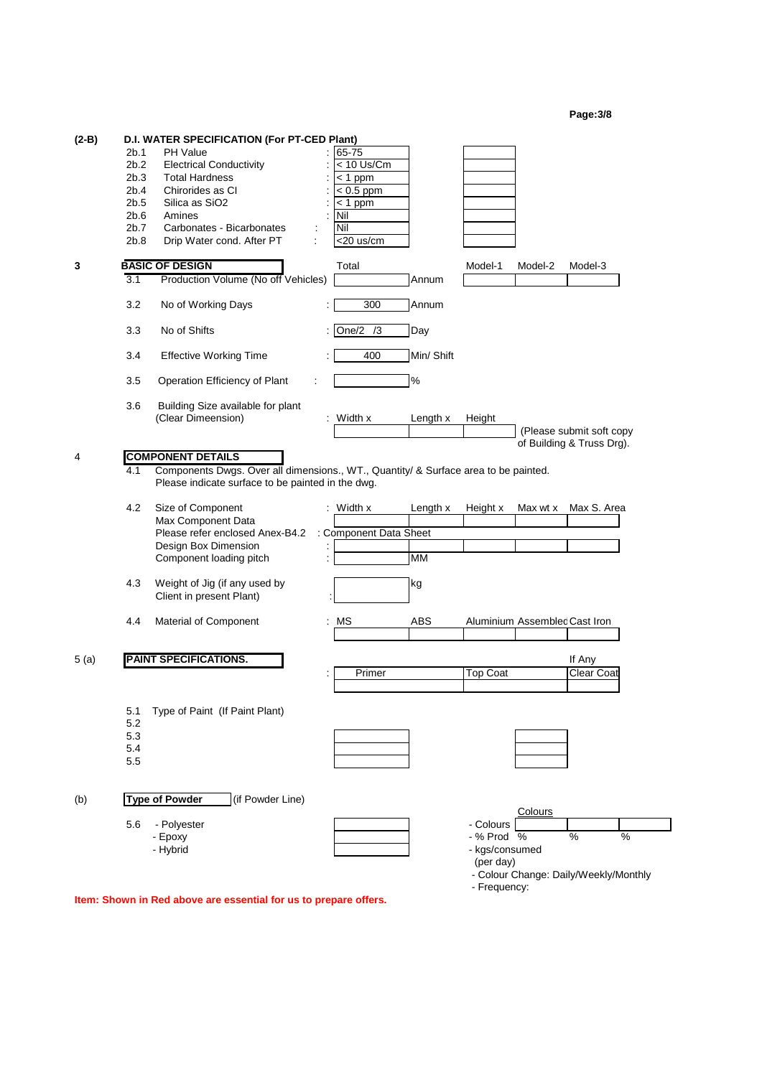| Page:3/8 |
|----------|
|----------|

| $(2-B)$ | 2b.1<br>2b.2<br>2b.3<br>2b.4<br>2b.5<br>2b.6<br>2b.7<br>2b.8 | D.I. WATER SPECIFICATION (For PT-CED Plant)<br>PH Value<br><b>Electrical Conductivity</b><br><b>Total Hardness</b><br>Chirorides as CI<br>Silica as SiO <sub>2</sub><br>Amines<br>Carbonates - Bicarbonates<br>Drip Water cond. After PT<br>t | 65-75<br>< 10 Us/Cm<br>$<$ 1 ppm<br>$< 0.5$ ppm<br>$<$ 1 ppm<br>Nil<br>Nil<br><20 us/cm |                       |                                                        |                               |                                            |      |
|---------|--------------------------------------------------------------|-----------------------------------------------------------------------------------------------------------------------------------------------------------------------------------------------------------------------------------------------|-----------------------------------------------------------------------------------------|-----------------------|--------------------------------------------------------|-------------------------------|--------------------------------------------|------|
| 3       | $\overline{3.1}$                                             | <b>BASIC OF DESIGN</b><br>Production Volume (No off Vehicles)                                                                                                                                                                                 | Total                                                                                   | Annum                 | Model-1                                                | Model-2                       | Model-3                                    |      |
|         | 3.2                                                          | No of Working Days                                                                                                                                                                                                                            | 300                                                                                     | Annum                 |                                                        |                               |                                            |      |
|         | 3.3                                                          | No of Shifts                                                                                                                                                                                                                                  | One/2<br>/3                                                                             | Day                   |                                                        |                               |                                            |      |
|         | 3.4                                                          | <b>Effective Working Time</b>                                                                                                                                                                                                                 | 400                                                                                     | Min/ Shift            |                                                        |                               |                                            |      |
|         | 3.5                                                          | Operation Efficiency of Plant                                                                                                                                                                                                                 |                                                                                         | $\%$                  |                                                        |                               |                                            |      |
|         | 3.6                                                          | Building Size available for plant<br>(Clear Dimeension)                                                                                                                                                                                       | $:$ Width $x$                                                                           | Length x              | Height                                                 |                               | (Please submit soft copy                   |      |
| 4       | 4.1                                                          | <b>COMPONENT DETAILS</b><br>Components Dwgs. Over all dimensions., WT., Quantity/ & Surface area to be painted.<br>Please indicate surface to be painted in the dwg.                                                                          |                                                                                         |                       |                                                        |                               | of Building & Truss Drg).                  |      |
|         | 4.2                                                          | Size of Component<br>Max Component Data<br>Please refer enclosed Anex-B4.2<br>Design Box Dimension<br>Component loading pitch                                                                                                                 | $:$ Width x<br>: Component Data Sheet                                                   | Length x<br><b>MM</b> | Height x                                               | Max wt x                      | Max S. Area                                |      |
|         | 4.3                                                          | Weight of Jig (if any used by<br>Client in present Plant)                                                                                                                                                                                     |                                                                                         | kg                    |                                                        |                               |                                            |      |
|         | 4.4                                                          | Material of Component                                                                                                                                                                                                                         | MS                                                                                      | ABS                   |                                                        | Aluminium Assemblec Cast Iron |                                            |      |
| 5(a)    |                                                              | <b>PAINT SPECIFICATIONS.</b>                                                                                                                                                                                                                  | Primer                                                                                  |                       | <b>Top Coat</b>                                        |                               | If Any<br>Clear Coat                       |      |
|         | 5.1<br>5.2<br>5.3<br>5.4<br>5.5                              | Type of Paint (If Paint Plant)                                                                                                                                                                                                                |                                                                                         |                       |                                                        |                               |                                            |      |
| (b)     | 5.6                                                          | <b>Type of Powder</b><br>(if Powder Line)<br>- Polyester<br>- Epoxy<br>- Hybrid                                                                                                                                                               |                                                                                         |                       | - Colours<br>- % Prod %<br>- kgs/consumed<br>(per day) | Colours                       | %<br>- Colour Change: Daily/Weekly/Monthly | $\%$ |

- Frequency:

┑

**Item: Shown in Red above are essential for us to prepare offers.**